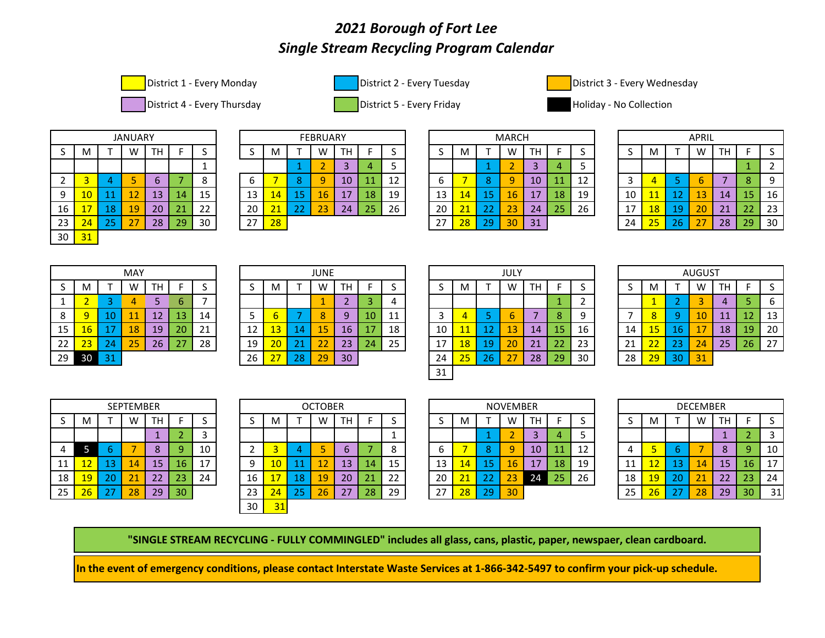## *2021 Borough of Fort Lee Single Stream Recycling Program Calendar*







District 1 - Every Monday **District 2 - Every Tuesday** District 2 - Every District 3 - Every Wednesday

District 4 - Every Thursday **District 5 - Every Friday Collection** Holiday - No Collection



|    |    |    | <b>JANUARY</b> |    |    |    |
|----|----|----|----------------|----|----|----|
| S  | M  | Τ  | W              | TH | F  | S  |
|    |    |    |                |    |    | 1  |
| 2  | 3  | 4  | 5              | 6  |    | 8  |
| 9  | 10 | 11 | 12             | 13 | 14 | 15 |
| 16 | 17 | 18 | 19             | 20 | 21 | 22 |
| 23 | 24 | 25 | 27             | 28 | 29 | 30 |
| 30 | 31 |    |                |    |    |    |

|    |            |                 | <b>JANUARY</b>       |    |           |    |    |           |        | <b>FEBRUARY</b> |           |    |    |    |                 |            | <b>MARCH</b>    |                     |    |    |    |           |    | <b>APRIL</b>            |    |                       |    |
|----|------------|-----------------|----------------------|----|-----------|----|----|-----------|--------|-----------------|-----------|----|----|----|-----------------|------------|-----------------|---------------------|----|----|----|-----------|----|-------------------------|----|-----------------------|----|
| ັ  | M          |                 | W                    | TH |           |    |    | M         |        | w               | TН        |    |    | -  | м               |            | W               |                     |    |    |    |           |    | W                       | тн |                       |    |
|    |            |                 |                      |    |           |    |    |           |        |                 |           |    |    |    |                 |            |                 |                     |    |    |    |           |    |                         |    |                       |    |
|    |            |                 |                      |    |           |    | u  |           |        |                 | 10        | 11 | ᆠ  |    |                 |            | u               | 10                  |    | ∸∸ |    |           |    |                         |    |                       | a  |
| a  | <u> LV</u> | ᆂᆂ              | ∸∸                   | 13 | 44        | 15 | 13 | 44'       |        | 16              | 17<br>. . | 18 | 19 | 13 | 44 <sup>7</sup> |            | 46 <sub>2</sub> | 17<br>. .           | 18 | 19 | 10 | и<br>- 11 | -- | $\sim$<br>13            | 14 | --                    | 16 |
| 16 |            | 18              | <b>19</b>            | 20 | 21        | 22 | 20 | 21<br>. . | $\sim$ | າາ<br>ے ے       | 24        | 25 | 26 | 20 | 21              | - -<br>. . | 23              | 24                  | 25 | 26 | 17 | 18        | 19 | 20                      | 21 | --                    | 23 |
| 23 | 24         | <b>DE</b><br>-- | $\sim$ $\rightarrow$ | 28 | 29<br>ـ ـ | 30 | 27 | 28        |        |                 |           |    |    | 27 | 28              | σa<br>--   |                 | $\mathcal{L}$<br>31 |    |    | 24 | 25        | 26 | $\sim$ $\sim$<br>$\sim$ | 28 | $\sim$<br>, .<br>- 20 | 30 |

|    |            |           | <b>JANUARY</b>       |           |         |    |    |               |        | <b>FEBRUARY</b> |           |    |    |    |             |           | <b>MARCH</b>        |           |    |    |    |           |             | <b>APRIL</b>  |           |    |    |
|----|------------|-----------|----------------------|-----------|---------|----|----|---------------|--------|-----------------|-----------|----|----|----|-------------|-----------|---------------------|-----------|----|----|----|-----------|-------------|---------------|-----------|----|----|
| ت  | M          |           | W                    | <b>TH</b> |         |    |    | M             |        | M               | TH        |    |    |    | M           |           | W                   | ÷         |    |    |    | NЛ        |             | W             | <b>TH</b> |    |    |
|    |            |           |                      |           |         | -- |    |               |        |                 |           |    |    |    |             |           |                     |           |    |    |    |           |             |               |           |    |    |
|    |            |           |                      |           |         |    | ັບ |               |        |                 | 10        | IJ | ᅩᄼ |    |             |           |                     | 10        |    | ∸∸ |    |           |             |               |           |    | ۰Q |
| 9  | <u> LV</u> | a a       | ∸∸                   | 13        | 14      | 15 | 13 | $\mathbf{14}$ |        | 16              | 17<br>. . | 18 | 19 | 13 | <u>447 </u> |           | 46 <sup>7</sup>     | 17<br>. . | 18 | 19 | 10 | --        | --          | 13            | 14        | -- | 16 |
| 16 |            | 18        | <b>19</b>            | 20        | 21<br>- | 22 | 20 | ີາາ<br>. .    | $\sim$ | n-<br>ے ے       | 24        | 25 | 26 | 20 | 21          | ~~        | $\sim$ $\sim$<br>23 | 24        | 25 | 26 | 17 | <b>18</b> | 10<br>ب بار | 20            | 21        | -- | 23 |
| 23 | 24<br>-    | つに<br>ت ک | $\sim$ $\rightarrow$ | 28        | 29      | 30 | 27 | 28            |        |                 |           |    |    | 27 | 28          | ാവ<br>. . | 30                  | 31        |    |    | 24 | 25        | 26          | $\sim$ $\sim$ | 28        | 29 | 30 |
|    |            |           |                      |           |         |    |    |               |        |                 |           |    |    |    |             |           |                     |           |    |    |    |           |             |               |           |    |    |

|         |    |    | <b>APRIL</b> |    |    |    |
|---------|----|----|--------------|----|----|----|
| $\sf S$ | M  | т  | W            | TН | F  | S  |
|         |    |    |              |    | 1  | 2  |
| 3       | 4  | 5  | 6            |    | 8  | 9  |
| 10      | 11 | 12 | 13           | 14 | 15 | 16 |
| 17      | 18 | 19 | 20           | 21 | 22 | 23 |
| 24      | 25 | 26 | 27           | 28 | 29 | 30 |

|    |                |    | MAY |    |    |    |
|----|----------------|----|-----|----|----|----|
| S  | M              |    | W   | тн | F  | S  |
| 1  | $\overline{2}$ | 3  | 4   | 5  | 6  |    |
| 8  | 9              | 10 | 11  | 12 | 13 | 14 |
| 15 | 16             | 17 | 18  | 19 | 20 | 21 |
| 22 | 23             | 24 | 25  | 26 | 27 | 28 |
| 29 | 30             | 31 |     |    |    |    |

| MAY |    |    |    |    |    |    | <b>JUNE</b> |    |    |    |    |    |    | JULY |
|-----|----|----|----|----|----|----|-------------|----|----|----|----|----|----|------|
| W   | TН | F  |    | S  | м  |    | W           | TН | F  | S  | S  | M  |    | W    |
| 4   | 5  | 6  | 7  |    |    |    | 1           | っ  | 3  | 4  |    |    |    |      |
| 11  | 12 | 13 | 14 | 5  | 6  |    | 8           | 9  | 10 | 11 | 3  | 4  | 5  | 6    |
| 18  | 19 | 20 | 21 | 12 | 13 | 14 | 15          | 16 | 17 | 18 | 10 | 11 | 12 | 13   |
| 25  | 26 | 27 | 28 | 19 | 20 | 21 | 22          | 23 | 24 | 25 | 17 | 18 | 19 | 20   |
|     |    |    |    | 26 | 27 | 28 | 29          | 30 |    |    | 24 | 25 | 26 | 27   |

|    |                     |     | <b>MAY</b> |    |     |    |    |                  |     | <b>JUNE</b> |    |    |           |          |           |           | JULY               |           |                 |    |    |                 |    | <b>AUGUST</b> |          |    |                |
|----|---------------------|-----|------------|----|-----|----|----|------------------|-----|-------------|----|----|-----------|----------|-----------|-----------|--------------------|-----------|-----------------|----|----|-----------------|----|---------------|----------|----|----------------|
| ر  | M                   |     | W          | TH |     |    |    | M                |     | W           | ΓН |    |           |          | ΙVΙ       |           | W                  | <b>TH</b> |                 |    | س  |                 |    | W             | TН       |    |                |
|    |                     |     |            |    | b   |    |    |                  |     |             |    |    |           |          |           |           |                    |           |                 |    |    |                 |    |               |          |    | b              |
| 8  |                     | 10  | والمراجات  | 12 | 13  | 14 |    |                  |     |             |    | 10 | <b>TT</b> |          |           |           | b                  |           | 8               |    |    | 8               |    | 10            | 11<br>-- | ᆂ  | 13<br><b>.</b> |
| 15 | $\overline{16}$     |     | 18         | 19 | 20  | 21 | 12 | 고그               | 14  |             | 16 | 17 | 18        | 10       | <u>11</u> | ∸         | 13                 | 14        | 15 <sub>l</sub> | 16 | 14 | 15 <sub>1</sub> | 16 | . –           | 18       | 19 | 20             |
| 22 | $\sim$<br><u>23</u> | 24  | 25         | 26 | ر ے | 28 | 19 | <u>20</u>        | . . | ີ           | 23 | 24 | 25        | <b>L</b> | 18        | 10.<br>-- | 20                 | 21        | 22              | 23 | 21 | 22              | 23 | 24            | 25       | 26 | 27             |
| 29 | 30                  | n a |            |    |     |    | 26 | $\sim$ $-$<br>L. | 28  | 29          | 30 |    |           | 24       | つに<br>23  | 26        | $\mathcal{L}$<br>∠ | 28        | 29              | 30 | 28 | 29              | 30 | 31            |          |    |                |
|    |                     |     |            |    |     |    |    |                  |     |             |    |    |           | 31       |           |           |                    |           |                 |    |    |                 |    |               |          |    |                |

| M  |    | W  | TН | F             | S  |
|----|----|----|----|---------------|----|
| 1  | 2  | 3  | 4  | 5             | 6  |
| 8  | 9  | 10 | 11 | 12            | 13 |
| 15 | 16 | 17 | 18 | 19            | 20 |
| 22 | 23 | 24 | 25 | 26            | 27 |
| 29 | 30 | 31 |    |               |    |
|    |    |    |    | <b>AUGUST</b> |    |

|    |                  |    | <b>SEPTEMBER</b> |    |    |    |  |  |  |  |  |  |  |
|----|------------------|----|------------------|----|----|----|--|--|--|--|--|--|--|
| S  | M                |    | W                | тн | F  | S  |  |  |  |  |  |  |  |
|    | 2                |    |                  |    |    |    |  |  |  |  |  |  |  |
| 4  | 5<br>6<br>8<br>9 |    |                  |    |    |    |  |  |  |  |  |  |  |
| 11 | 12               | 13 | 14               | 15 | 16 | 17 |  |  |  |  |  |  |  |
| 18 | 19               | 20 | 21               | 22 | 23 | 24 |  |  |  |  |  |  |  |
| 25 | 26               | 27 | 28               | 29 | 30 |    |  |  |  |  |  |  |  |

|          |                 |                      | SEPTEMBER |           |    |    |    |          |     | <b>OCTOBER</b> |           |    |         |    |                  |               | <b>NOVEMBER</b> |    |           |    |    |    |    | <b>DECEMBER</b> |                   |                 |     |
|----------|-----------------|----------------------|-----------|-----------|----|----|----|----------|-----|----------------|-----------|----|---------|----|------------------|---------------|-----------------|----|-----------|----|----|----|----|-----------------|-------------------|-----------------|-----|
| ر        | M               |                      | w         | <b>TH</b> |    |    |    | м        |     | W              | <b>TH</b> |    |         |    | M                |               | W               | TH |           | ب  |    | M  |    | W               | TH.               |                 |     |
|          |                 |                      |           |           |    | ັ  |    |          |     |                |           |    |         |    |                  |               |                 |    |           | ر  |    |    |    |                 |                   |                 |     |
| 4        |                 |                      |           |           |    | 10 |    |          |     |                |           |    | 8       |    |                  | $\sqrt{2}$    |                 | 10 | <b>TT</b> | 12 |    |    |    |                 |                   |                 | 10  |
| 11<br>ᆠᆂ | $\sim$<br>ᆠ     | 13                   | 14        | 15        | 16 | 17 | Q  | 10       |     | ŦΣ             | 13        | 14 | 15<br>ᆦ | 13 | $\overline{44'}$ |               | 16 <sub>l</sub> | 17 | 18        | 19 | ᆂᆂ | ∸  | 13 | 14              | 15                | 16              | -17 |
| 18       | 19 <sub>1</sub> | 20                   | 21        | 22        | 23 | 24 | 16 | ヮ<br>. . | 487 | 19             | 20        | 21 | 22      | 20 | 21               | ാറ<br>$-16.6$ | 23              | 24 | 25        | 26 | 18 | 19 | 20 | 21              | ົາາ<br><u> 22</u> | 23              | -24 |
| 25       | 26              | $\sim$ $\sim$<br>ر ے | 28        | 29        | 30 |    | 23 | 24       | 25  | 26             | 27        | 28 | 29      | 27 | 28               | 29            | 30              |    |           |    | 25 | 26 |    | 28              | 29                | 30 <sup>1</sup> | 31  |
|          |                 |                      |           |           |    |    | 30 | 51       |     |                |           |    |         |    |                  |               |                 |    |           |    |    |    |    |                 |                   |                 |     |

|    |    |    | NOVEMBER |    |    |    |
|----|----|----|----------|----|----|----|
| S  | M  |    | W        | TН | F  | S  |
|    |    | 1  | 2        | 3  | 4  | 5  |
| 6  |    | 8  | 9        | 10 | 11 | 12 |
| 13 | 14 | 15 | 16       | 17 | 18 | 19 |
| 20 | 21 | 22 | 23       | 24 | 25 | 26 |
| 27 | 28 | 29 | 30       |    |    |    |

|    |    |    | <b>DECEMBER</b> |    |    |    |
|----|----|----|-----------------|----|----|----|
| S  | M  |    | W               | TН | F  | S  |
|    |    |    |                 |    | 2  | 3  |
| 4  | 5  | 6  |                 | 8  | -9 | 10 |
| 11 | 12 | 13 | 14              | 15 | 16 | 17 |
| 18 | 19 | 20 | 21              | 22 | 23 | 24 |
| 25 | 26 | 27 | 28              | 29 | 30 | 31 |

**"SINGLE STREAM RECYCLING - FULLY COMMINGLED" includes all glass, cans, plastic, paper, newspaer, clean cardboard.**

**In the event of emergency conditions, please contact Interstate Waste Services at 1-866-342-5497 to confirm your pick-up schedule.**